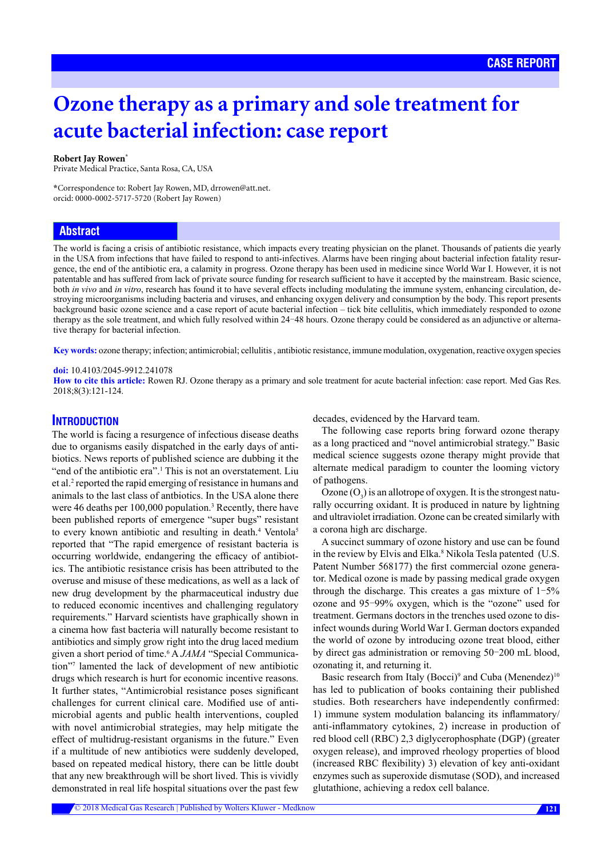# **Ozone therapy as a primary and sole treatment for acute bacterial infection: case report**

#### **Robert Jay Rowen\***

Private Medical Practice, Santa Rosa, CA, USA

**\***Correspondence to: Robert Jay Rowen, MD, drrowen@att.net. orcid: [0000-0002-5717-5720](http://orcid.org/0000-0002-5717-5720) (Robert Jay Rowen)

# **Abstract**

The world is facing a crisis of antibiotic resistance, which impacts every treating physician on the planet. Thousands of patients die yearly in the USA from infections that have failed to respond to anti-infectives. Alarms have been ringing about bacterial infection fatality resurgence, the end of the antibiotic era, a calamity in progress. [Ozone therapy](https://www.austinozone.com) has been used in medicine since World War I. However, it is not patentable and has suffered from lack of private source funding for research sufficient to have it accepted by the mainstream. Basic science, both *in vivo* and *in vitro*, research has found it to have several effects including modulating the immune system, enhancing circulation, destroying microorganisms including bacteria and viruses, and enhancing oxygen delivery and consumption by the body. This report presents background basic ozone science and a case report of acute bacterial infection – tick bite cellulitis, which immediately responded to ozone therapy as the sole treatment, and which fully resolved within 24-48 hours. Ozone therapy could be considered as an adjunctive or alternative therapy for bacterial infection.

**Key words:** ozone therapy; infection; antimicrobial; cellulitis , antibiotic resistance, immune modulation, oxygenation, reactive oxygen species

#### **doi:** 10.4103/2045-9912.241078

**How to cite this article:** Rowen RJ. Ozone therapy as a primary and sole treatment for acute bacterial infection: case report. Med Gas Res. 2018;8(3):121-124.

# **INTRODUCTION**

The world is facing a resurgence of infectious disease deaths due to organisms easily dispatched in the early days of antibiotics. News reports of published science are dubbing it the "end of the antibiotic era".<sup>1</sup> This is not an overstatement. Liu et al.<sup>2</sup> reported the rapid emerging of resistance in humans and animals to the last class of antbiotics. In the USA alone there were 46 deaths per 100,000 population.<sup>3</sup> Recently, there have been published reports of emergence "super bugs" resistant to every known antibiotic and resulting in death.<sup>4</sup> Ventola<sup>5</sup> reported that "The rapid emergence of resistant bacteria is occurring worldwide, endangering the efficacy of antibiotics. The antibiotic resistance crisis has been attributed to the overuse and misuse of these medications, as well as a lack of new drug development by the pharmaceutical industry due to reduced economic incentives and challenging regulatory requirements." Harvard scientists have graphically shown in a cinema how fast bacteria will naturally become resistant to antibiotics and simply grow right into the drug laced medium given a short period of time.<sup>6</sup> A *JAMA* "Special Communication"7 lamented the lack of development of new antibiotic drugs which research is hurt for economic incentive reasons. It further states, "Antimicrobial resistance poses significant challenges for current clinical care. Modified use of antimicrobial agents and public health interventions, coupled with novel antimicrobial strategies, may help mitigate the effect of multidrug-resistant organisms in the future." Even if a multitude of new antibiotics were suddenly developed, based on repeated medical history, there can be little doubt that any new breakthrough will be short lived. This is vividly demonstrated in real life hospital situations over the past few

decades, evidenced by the Harvard team.

The following case reports bring forward ozone therapy as a long practiced and "novel antimicrobial strategy." Basic medical science suggests ozone therapy might provide that alternate medical paradigm to counter the looming victory of pathogens.

Ozone  $(O_3)$  is an allotrope of oxygen. It is the strongest naturally occurring oxidant. It is produced in nature by lightning and ultraviolet irradiation. Ozone can be created similarly with a corona high arc discharge.

A succinct summary of ozone history and use can be found in the review by Elvis and Elka.<sup>8</sup> Nikola Tesla patented (U.S. Patent Number 568177) the first commercial ozone generator. Medical ozone is made by passing medical grade oxygen through the discharge. This creates a gas mixture of  $1-5\%$ ozone and 95-99% oxygen, which is the "ozone" used for treatment. Germans doctors in the trenches used ozone to disinfect wounds during World War I. German doctors expanded the world of ozone by introducing ozone treat blood, either by direct gas administration or removing 50-200 mL blood, ozonating it, and returning it.

Basic research from Italy (Bocci)<sup>9</sup> and Cuba (Menendez)<sup>10</sup> has led to publication of books containing their published studies. Both researchers have independently confirmed: 1) immune system modulation balancing its inflammatory/ anti-inflammatory cytokines, 2) increase in production of red blood cell (RBC) 2,3 diglycerophosphate (DGP) (greater oxygen release), and improved rheology properties of blood (increased RBC flexibility) 3) elevation of key anti-oxidant enzymes such as superoxide dismutase (SOD), and increased glutathione, achieving a redox cell balance.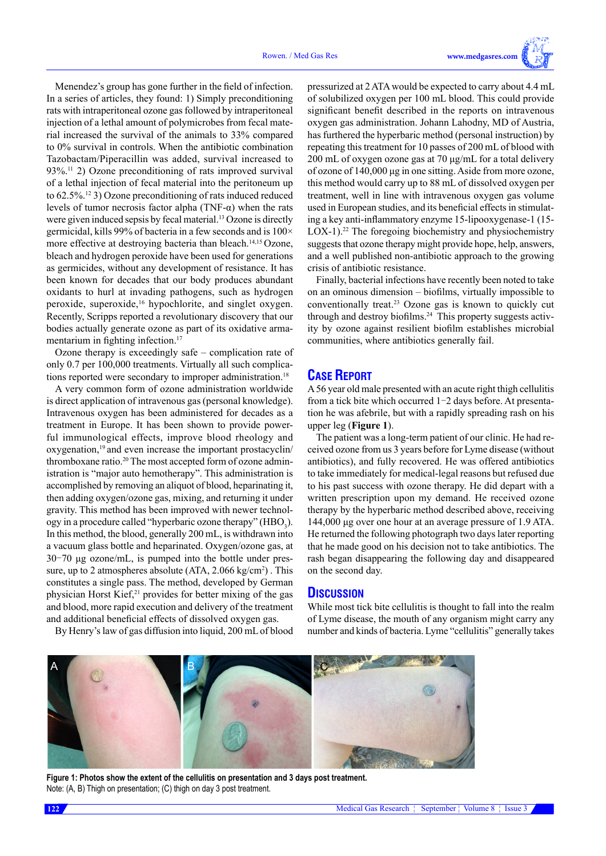Menendez's group has gone further in the field of infection. In a series of articles, they found: 1) Simply preconditioning rats with intraperitoneal ozone gas followed by intraperitoneal injection of a lethal amount of polymicrobes from fecal material increased the survival of the animals to 33% compared to 0% survival in controls. When the antibiotic combination Tazobactam/Piperacillin was added, survival increased to 93%.11 2) Ozone preconditioning of rats improved survival of a lethal injection of fecal material into the peritoneum up to 62.5%.12 3) Ozone preconditioning of rats induced reduced levels of tumor necrosis factor alpha (TNF-α) when the rats were given induced sepsis by fecal material.<sup>13</sup> Ozone is directly germicidal, kills 99% of bacteria in a few seconds and is 100× more effective at destroying bacteria than bleach.<sup>14,15</sup> Ozone, bleach and hydrogen peroxide have been used for generations as germicides, without any development of resistance. It has been known for decades that our body produces abundant oxidants to hurl at invading pathogens, such as hydrogen peroxide, superoxide,<sup>16</sup> hypochlorite, and singlet oxygen. Recently, Scripps reported a revolutionary discovery that our bodies actually generate ozone as part of its oxidative armamentarium in fighting infection.<sup>17</sup>

Ozone therapy is exceedingly safe – complication rate of only 0.7 per 100,000 treatments. Virtually all such complications reported were secondary to improper administration.<sup>18</sup>

A very common form of ozone administration worldwide is direct application of intravenous gas (personal knowledge). Intravenous oxygen has been administered for decades as a treatment in Europe. It has been shown to provide powerful immunological effects, improve blood rheology and oxygenation,19 and even increase the important prostacyclin/ thromboxane ratio.<sup>20</sup> The most accepted form of ozone administration is "major auto hemotherapy". This administration is accomplished by removing an aliquot of blood, heparinating it, then adding oxygen/ozone gas, mixing, and returning it under gravity. This method has been improved with newer technology in a procedure called "hyperbaric ozone therapy" ( $\text{HBO}_3$ ). In this method, the blood, generally 200 mL, is withdrawn into a vacuum glass bottle and heparinated. Oxygen/ozone gas, at 30-70 μg ozone/mL, is pumped into the bottle under pressure, up to 2 atmospheres absolute (ATA, 2.066 kg/cm<sup>2</sup>). This constitutes a single pass. The method, developed by German physician Horst Kief, $21$  provides for better mixing of the gas and blood, more rapid execution and delivery of the treatment and additional beneficial effects of dissolved oxygen gas.

By Henry's law of gas diffusion into liquid, 200 mL of blood

pressurized at 2 ATA would be expected to carry about 4.4 mL of solubilized oxygen per 100 mL blood. This could provide significant benefit described in the reports on intravenous oxygen gas administration. Johann Lahodny, MD of Austria, has furthered the hyperbaric method (personal instruction) by repeating this treatment for 10 passes of 200 mL of blood with 200 mL of oxygen ozone gas at 70 μg/mL for a total delivery of ozone of 140,000 μg in one sitting. Aside from more ozone, this method would carry up to 88 mL of dissolved oxygen per treatment, well in line with intravenous oxygen gas volume used in European studies, and its beneficial effects in stimulating a key anti-inflammatory enzyme 15-lipooxygenase-1 (15- LOX-1).<sup>22</sup> The foregoing biochemistry and physiochemistry suggests that ozone therapy might provide hope, help, answers, and a well published non-antibiotic approach to the growing crisis of antibiotic resistance.

Finally, bacterial infections have recently been noted to take on an ominous dimension – biofilms, virtually impossible to conventionally treat.23 Ozone gas is known to quickly cut through and destroy biofilms.24 This property suggests activity by ozone against resilient biofilm establishes microbial communities, where antibiotics generally fail.

# **CASE REPORT**

A 56 year old male presented with an acute right thigh cellulitis from a tick bite which occurred 1-2 days before. At presentation he was afebrile, but with a rapidly spreading rash on his upper leg (**Figure 1**).

The patient was a long-term patient of our clinic. He had received ozone from us 3 years before for Lyme disease (without antibiotics), and fully recovered. He was offered antibiotics to take immediately for medical-legal reasons but refused due to his past success with ozone therapy. He did depart with a written prescription upon my demand. He received ozone therapy by the hyperbaric method described above, receiving 144,000 μg over one hour at an average pressure of 1.9 ATA. He returned the following photograph two days later reporting that he made good on his decision not to take antibiotics. The rash began disappearing the following day and disappeared on the second day.

### **DISCUSSION**

While most tick bite cellulitis is thought to fall into the realm of Lyme disease, the mouth of any organism might carry any number and kinds of bacteria. Lyme "cellulitis" generally takes



**Figure 1: Photos show the extent of the cellulitis on presentation and 3 days post treatment.** Note: (A, B) Thigh on presentation; (C) thigh on day 3 post treatment.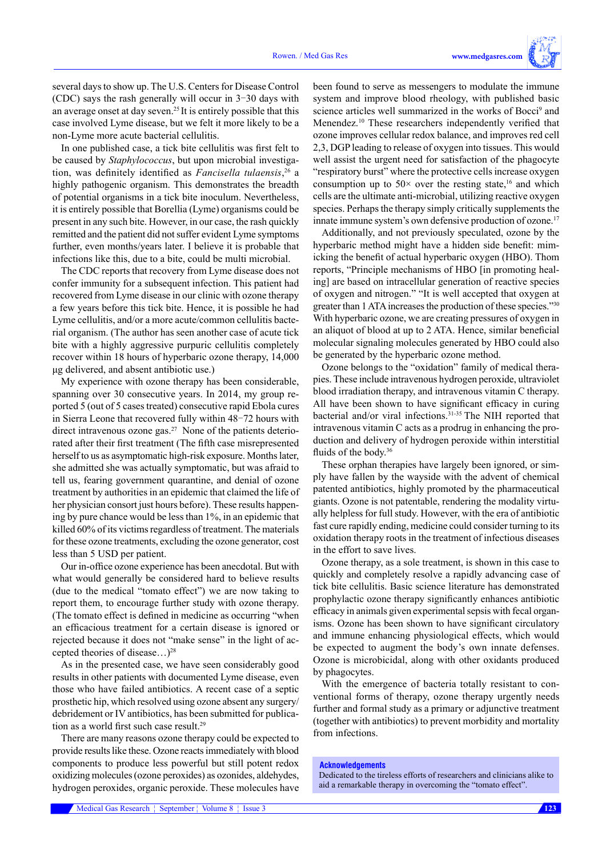several days to show up. The U.S. Centers for Disease Control (CDC) says the rash generally will occur in 3-30 days with an average onset at day seven.25 It is entirely possible that this case involved Lyme disease, but we felt it more likely to be a non-Lyme more acute bacterial cellulitis.

In one published case, a tick bite cellulitis was first felt to be caused by *Staphylococcus*, but upon microbial investigation, was definitely identified as *Fancisella tulaensis*, 26 a highly pathogenic organism. This demonstrates the breadth of potential organisms in a tick bite inoculum. Nevertheless, it is entirely possible that Borellia (Lyme) organisms could be present in any such bite. However, in our case, the rash quickly remitted and the patient did not suffer evident Lyme symptoms further, even months/years later. I believe it is probable that infections like this, due to a bite, could be multi microbial.

The CDC reports that recovery from Lyme disease does not confer immunity for a subsequent infection. This patient had recovered from Lyme disease in our clinic with ozone therapy a few years before this tick bite. Hence, it is possible he had Lyme cellulitis, and/or a more acute/common cellulitis bacterial organism. (The author has seen another case of acute tick bite with a highly aggressive purpuric cellulitis completely recover within 18 hours of hyperbaric ozone therapy, 14,000 μg delivered, and absent antibiotic use.)

My experience with ozone therapy has been considerable, spanning over 30 consecutive years. In 2014, my group reported 5 (out of 5 cases treated) consecutive rapid Ebola cures in Sierra Leone that recovered fully within 48-72 hours with direct intravenous ozone gas.<sup>27</sup> None of the patients deteriorated after their first treatment (The fifth case misrepresented herself to us as asymptomatic high-risk exposure. Months later, she admitted she was actually symptomatic, but was afraid to tell us, fearing government quarantine, and denial of ozone treatment by authorities in an epidemic that claimed the life of her physician consort just hours before). These results happening by pure chance would be less than 1%, in an epidemic that killed 60% of its victims regardless of treatment. The materials for these ozone treatments, excluding the ozone generator, cost less than 5 USD per patient.

Our in-office ozone experience has been anecdotal. But with what would generally be considered hard to believe results (due to the medical "tomato effect") we are now taking to report them, to encourage further study with ozone therapy. (The tomato effect is defined in medicine as occurring "when an efficacious treatment for a certain disease is ignored or rejected because it does not "make sense" in the light of accepted theories of disease…)28

As in the presented case, we have seen considerably good results in other patients with documented Lyme disease, even those who have failed antibiotics. A recent case of a septic prosthetic hip, which resolved using ozone absent any surgery/ debridement or IV antibiotics, has been submitted for publication as a world first such case result.<sup>29</sup>

There are many reasons ozone therapy could be expected to provide results like these. Ozone reacts immediately with blood components to produce less powerful but still potent redox oxidizing molecules (ozone peroxides) as ozonides, aldehydes, hydrogen peroxides, organic peroxide. These molecules have been found to serve as messengers to modulate the immune system and improve blood rheology, with published basic science articles well summarized in the works of Bocci<sup>9</sup> and Menendez.10 These researchers independently verified that ozone improves cellular redox balance, and improves red cell 2,3, DGP leading to release of oxygen into tissues. This would well assist the urgent need for satisfaction of the phagocyte "respiratory burst" where the protective cells increase oxygen consumption up to  $50\times$  over the resting state,<sup>16</sup> and which cells are the ultimate anti-microbial, utilizing reactive oxygen species. Perhaps the therapy simply critically supplements the innate immune system's own defensive production of ozone.<sup>17</sup>

Additionally, and not previously speculated, ozone by the hyperbaric method might have a hidden side benefit: mimicking the benefit of actual hyperbaric oxygen (HBO). Thom reports, "Principle mechanisms of HBO [in promoting healing] are based on intracellular generation of reactive species of oxygen and nitrogen." "It is well accepted that oxygen at greater than 1 ATA increases the production of these species."30 With hyperbaric ozone, we are creating pressures of oxygen in an aliquot of blood at up to 2 ATA. Hence, similar beneficial molecular signaling molecules generated by HBO could also be generated by the hyperbaric ozone method.

Ozone belongs to the "oxidation" family of medical therapies. These include intravenous hydrogen peroxide, ultraviolet blood irradiation therapy, and intravenous vitamin C therapy. All have been shown to have significant efficacy in curing bacterial and/or viral infections.31-35 The NIH reported that intravenous vitamin C acts as a prodrug in enhancing the production and delivery of hydrogen peroxide within interstitial fluids of the body.<sup>36</sup>

These orphan therapies have largely been ignored, or simply have fallen by the wayside with the advent of chemical patented antibiotics, highly promoted by the pharmaceutical giants. Ozone is not patentable, rendering the modality virtually helpless for full study. However, with the era of antibiotic fast cure rapidly ending, medicine could consider turning to its oxidation therapy roots in the treatment of infectious diseases in the effort to save lives.

Ozone therapy, as a sole treatment, is shown in this case to quickly and completely resolve a rapidly advancing case of tick bite cellulitis. Basic science literature has demonstrated prophylactic ozone therapy significantly enhances antibiotic efficacy in animals given experimental sepsis with fecal organisms. Ozone has been shown to have significant circulatory and immune enhancing physiological effects, which would be expected to augment the body's own innate defenses. Ozone is microbicidal, along with other oxidants produced by phagocytes.

With the emergence of bacteria totally resistant to conventional forms of therapy, ozone therapy urgently needs further and formal study as a primary or adjunctive treatment (together with antibiotics) to prevent morbidity and mortality from infections.

#### **Acknowledgements**

Dedicated to the tireless efforts of researchers and clinicians alike to aid a remarkable therapy in overcoming the "tomato effect".